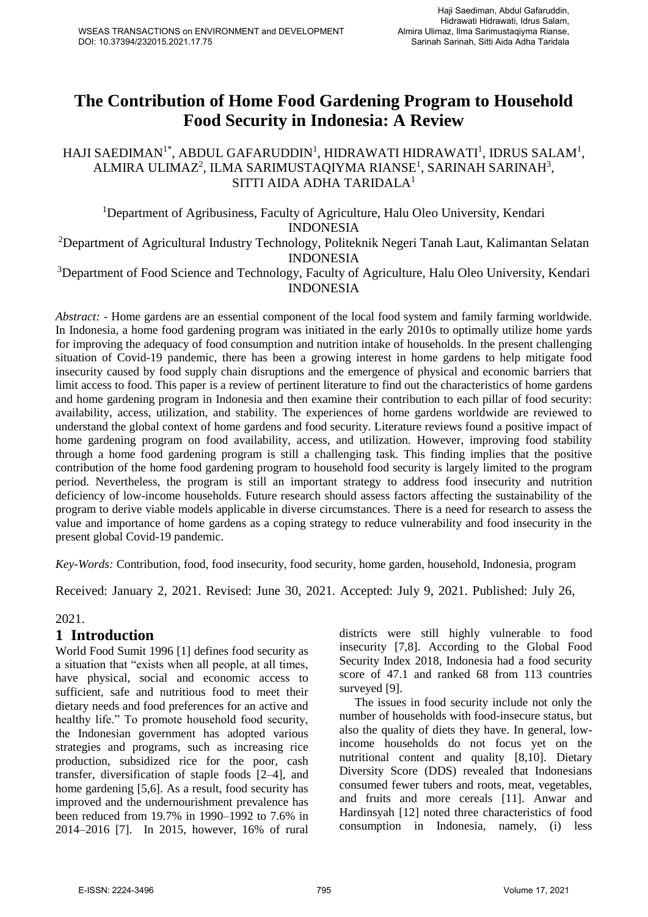# **The Contribution of Home Food Gardening Program to Household Food Security in Indonesia: A Review**

### HAJI SAEDIMAN $^{\rm 1*}$ , ABDUL GAFARUDDIN $^{\rm 1}$ , HIDRAWATI HIDRAWATI $^{\rm 1}$ , IDRUS SALAM $^{\rm 1}$ , ALMIRA ULIMAZ $^2$ , ILMA SARIMUSTAQIYMA RIANSE $^1$ , SARINAH SARINAH $^3\!$ , SITTI AIDA ADHA TARIDALA 1

<sup>1</sup>Department of Agribusiness, Faculty of Agriculture, Halu Oleo University, Kendari INDONESIA

<sup>2</sup>Department of Agricultural Industry Technology, Politeknik Negeri Tanah Laut, Kalimantan Selatan INDONESIA

#### <sup>3</sup>Department of Food Science and Technology, Faculty of Agriculture, Halu Oleo University, Kendari INDONESIA

*Abstract: -* Home gardens are an essential component of the local food system and family farming worldwide. In Indonesia, a home food gardening program was initiated in the early 2010s to optimally utilize home yards for improving the adequacy of food consumption and nutrition intake of households. In the present challenging situation of Covid-19 pandemic, there has been a growing interest in home gardens to help mitigate food insecurity caused by food supply chain disruptions and the emergence of physical and economic barriers that limit access to food. This paper is a review of pertinent literature to find out the characteristics of home gardens and home gardening program in Indonesia and then examine their contribution to each pillar of food security: availability, access, utilization, and stability. The experiences of home gardens worldwide are reviewed to understand the global context of home gardens and food security. Literature reviews found a positive impact of home gardening program on food availability, access, and utilization. However, improving food stability through a home food gardening program is still a challenging task. This finding implies that the positive contribution of the home food gardening program to household food security is largely limited to the program period. Nevertheless, the program is still an important strategy to address food insecurity and nutrition deficiency of low-income households. Future research should assess factors affecting the sustainability of the program to derive viable models applicable in diverse circumstances. There is a need for research to assess the value and importance of home gardens as a coping strategy to reduce vulnerability and food insecurity in the present global Covid-19 pandemic.

*Key-Words:* Contribution, food, food insecurity, food security, home garden, household, Indonesia, program

Received: January 2, 2021. Revised: June 30, 2021. Accepted: July 9, 2021. Published: July 26,

#### 2021.

### **1 Introduction**

World Food Sumit 1996 [1] defines food security as a situation that "exists when all people, at all times, have physical, social and economic access to sufficient, safe and nutritious food to meet their dietary needs and food preferences for an active and healthy life." To promote household food security, the Indonesian government has adopted various strategies and programs, such as increasing rice production, subsidized rice for the poor, cash transfer, diversification of staple foods [2–4], and home gardening [5,6]. As a result, food security has improved and the undernourishment prevalence has been reduced from 19.7% in 1990–1992 to 7.6% in 2014–2016 [7]. In 2015, however, 16% of rural districts were still highly vulnerable to food insecurity [7,8]. According to the Global Food Security Index 2018, Indonesia had a food security score of 47.1 and ranked 68 from 113 countries surveyed [9].

The issues in food security include not only the number of households with food-insecure status, but also the quality of diets they have. In general, lowincome households do not focus yet on the nutritional content and quality [8,10]. Dietary Diversity Score (DDS) revealed that Indonesians consumed fewer tubers and roots, meat, vegetables, and fruits and more cereals [11]. Anwar and Hardinsyah [12] noted three characteristics of food consumption in Indonesia, namely, (i) less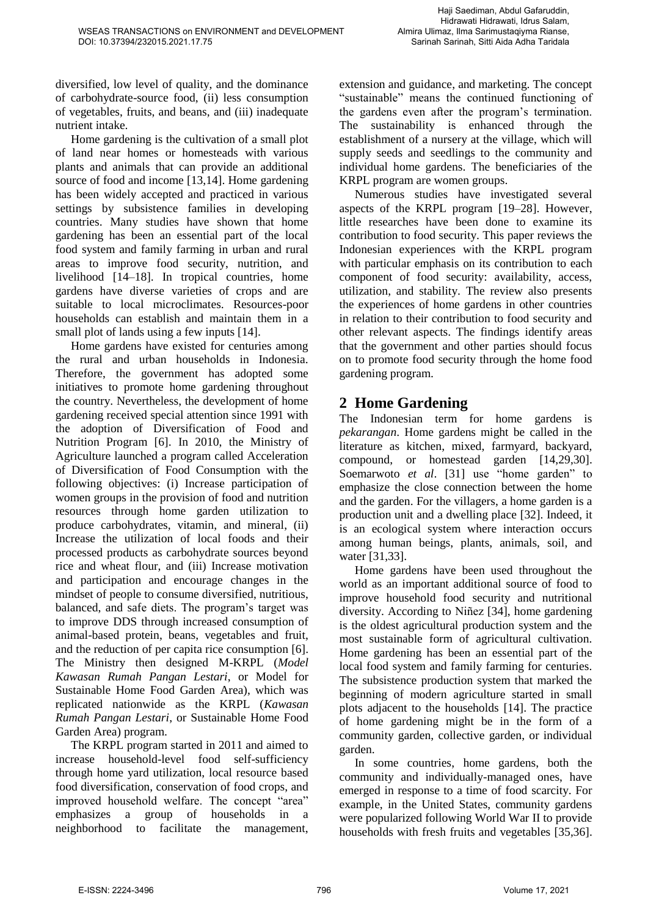diversified, low level of quality, and the dominance of carbohydrate-source food, (ii) less consumption of vegetables, fruits, and beans, and (iii) inadequate nutrient intake.

Home gardening is the cultivation of a small plot of land near homes or homesteads with various plants and animals that can provide an additional source of food and income [13,14]. Home gardening has been widely accepted and practiced in various settings by subsistence families in developing countries. Many studies have shown that home gardening has been an essential part of the local food system and family farming in urban and rural areas to improve food security, nutrition, and livelihood [14–18]. In tropical countries, home gardens have diverse varieties of crops and are suitable to local microclimates. Resources-poor households can establish and maintain them in a small plot of lands using a few inputs [14].

Home gardens have existed for centuries among the rural and urban households in Indonesia. Therefore, the government has adopted some initiatives to promote home gardening throughout the country. Nevertheless, the development of home gardening received special attention since 1991 with the adoption of Diversification of Food and Nutrition Program [6]. In 2010, the Ministry of Agriculture launched a program called Acceleration of Diversification of Food Consumption with the following objectives: (i) Increase participation of women groups in the provision of food and nutrition resources through home garden utilization to produce carbohydrates, vitamin, and mineral, (ii) Increase the utilization of local foods and their processed products as carbohydrate sources beyond rice and wheat flour, and (iii) Increase motivation and participation and encourage changes in the mindset of people to consume diversified, nutritious, balanced, and safe diets. The program's target was to improve DDS through increased consumption of animal-based protein, beans, vegetables and fruit, and the reduction of per capita rice consumption [6]. The Ministry then designed M-KRPL (*Model Kawasan Rumah Pangan Lestari*, or Model for Sustainable Home Food Garden Area), which was replicated nationwide as the KRPL (*Kawasan Rumah Pangan Lestari*, or Sustainable Home Food Garden Area) program.

The KRPL program started in 2011 and aimed to increase household-level food self-sufficiency through home yard utilization, local resource based food diversification, conservation of food crops, and improved household welfare. The concept "area" emphasizes a group of households in a neighborhood to facilitate the management, extension and guidance, and marketing. The concept "sustainable" means the continued functioning of the gardens even after the program's termination. The sustainability is enhanced through the establishment of a nursery at the village, which will supply seeds and seedlings to the community and individual home gardens. The beneficiaries of the KRPL program are women groups.

Numerous studies have investigated several aspects of the KRPL program [19–28]. However, little researches have been done to examine its contribution to food security. This paper reviews the Indonesian experiences with the KRPL program with particular emphasis on its contribution to each component of food security: availability, access, utilization, and stability. The review also presents the experiences of home gardens in other countries in relation to their contribution to food security and other relevant aspects. The findings identify areas that the government and other parties should focus on to promote food security through the home food gardening program.

### **2 Home Gardening**

The Indonesian term for home gardens is *pekarangan*. Home gardens might be called in the literature as kitchen, mixed, farmyard, backyard, compound, or homestead garden [14,29,30]. Soemarwoto *et al*. [31] use "home garden" to emphasize the close connection between the home and the garden. For the villagers, a home garden is a production unit and a dwelling place [32]. Indeed, it is an ecological system where interaction occurs among human beings, plants, animals, soil, and water [31,33].

Home gardens have been used throughout the world as an important additional source of food to improve household food security and nutritional diversity. According to Niñez [34], home gardening is the oldest agricultural production system and the most sustainable form of agricultural cultivation. Home gardening has been an essential part of the local food system and family farming for centuries. The subsistence production system that marked the beginning of modern agriculture started in small plots adjacent to the households [14]. The practice of home gardening might be in the form of a community garden, collective garden, or individual garden.

In some countries, home gardens, both the community and individually-managed ones, have emerged in response to a time of food scarcity. For example, in the United States, community gardens were popularized following World War II to provide households with fresh fruits and vegetables [35,36].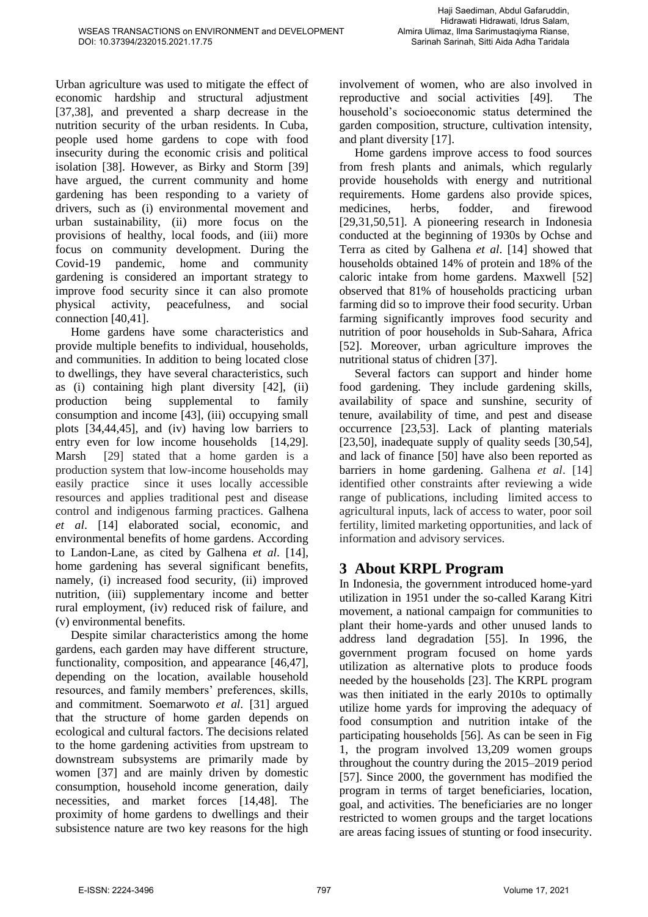Urban agriculture was used to mitigate the effect of economic hardship and structural adjustment [37,38], and prevented a sharp decrease in the nutrition security of the urban residents. In Cuba, people used home gardens to cope with food insecurity during the economic crisis and political isolation [38]. However, as Birky and Storm [39] have argued, the current community and home gardening has been responding to a variety of drivers, such as (i) environmental movement and urban sustainability, (ii) more focus on the provisions of healthy, local foods, and (iii) more focus on community development. During the Covid-19 pandemic, home and community gardening is considered an important strategy to improve food security since it can also promote physical activity, peacefulness, and social connection [40,41].

Home gardens have some characteristics and provide multiple benefits to individual, households, and communities. In addition to being located close to dwellings, they have several characteristics, such as (i) containing high plant diversity [42], (ii) production being supplemental to family consumption and income [43], (iii) occupying small plots [34,44,45], and (iv) having low barriers to entry even for low income households [14,29]. Marsh [29] stated that a home garden is a production system that low-income households may easily practice since it uses locally accessible resources and applies traditional pest and disease control and indigenous farming practices. Galhena *et al*. [14] elaborated social, economic, and environmental benefits of home gardens. According to Landon-Lane, as cited by Galhena *et al*. [14], home gardening has several significant benefits, namely, (i) increased food security, (ii) improved nutrition, (iii) supplementary income and better rural employment, (iv) reduced risk of failure, and (v) environmental benefits.

Despite similar characteristics among the home gardens, each garden may have different structure, functionality, composition, and appearance [46,47], depending on the location, available household resources, and family members' preferences, skills, and commitment. Soemarwoto *et al*. [31] argued that the structure of home garden depends on ecological and cultural factors. The decisions related to the home gardening activities from upstream to downstream subsystems are primarily made by women [37] and are mainly driven by domestic consumption, household income generation, daily necessities, and market forces [14,48]. The proximity of home gardens to dwellings and their subsistence nature are two key reasons for the high involvement of women, who are also involved in reproductive and social activities [49]. The household's socioeconomic status determined the garden composition, structure, cultivation intensity, and plant diversity [17].

Home gardens improve access to food sources from fresh plants and animals, which regularly provide households with energy and nutritional requirements. Home gardens also provide spices, medicines, herbs, fodder, and firewood [29,31,50,51]. A pioneering research in Indonesia conducted at the beginning of 1930s by Ochse and Terra as cited by Galhena *et al*. [14] showed that households obtained 14% of protein and 18% of the caloric intake from home gardens. Maxwell [52] observed that 81% of households practicing urban farming did so to improve their food security. Urban farming significantly improves food security and nutrition of poor households in Sub-Sahara, Africa [52]. Moreover, urban agriculture improves the nutritional status of chidren [37].

Several factors can support and hinder home food gardening. They include gardening skills, availability of space and sunshine, security of tenure, availability of time, and pest and disease occurrence [23,53]. Lack of planting materials [23,50], inadequate supply of quality seeds [30,54], and lack of finance [50] have also been reported as barriers in home gardening. Galhena *et al*. [14] identified other constraints after reviewing a wide range of publications, including limited access to agricultural inputs, lack of access to water, poor soil fertility, limited marketing opportunities, and lack of information and advisory services.

## **3 About KRPL Program**

In Indonesia, the government introduced home-yard utilization in 1951 under the so-called Karang Kitri movement, a national campaign for communities to plant their home-yards and other unused lands to address land degradation [55]. In 1996, the government program focused on home yards utilization as alternative plots to produce foods needed by the households [23]. The KRPL program was then initiated in the early 2010s to optimally utilize home yards for improving the adequacy of food consumption and nutrition intake of the participating households [56]. As can be seen in Fig 1, the program involved 13,209 women groups throughout the country during the 2015–2019 period [57]. Since 2000, the government has modified the program in terms of target beneficiaries, location, goal, and activities. The beneficiaries are no longer restricted to women groups and the target locations are areas facing issues of stunting or food insecurity.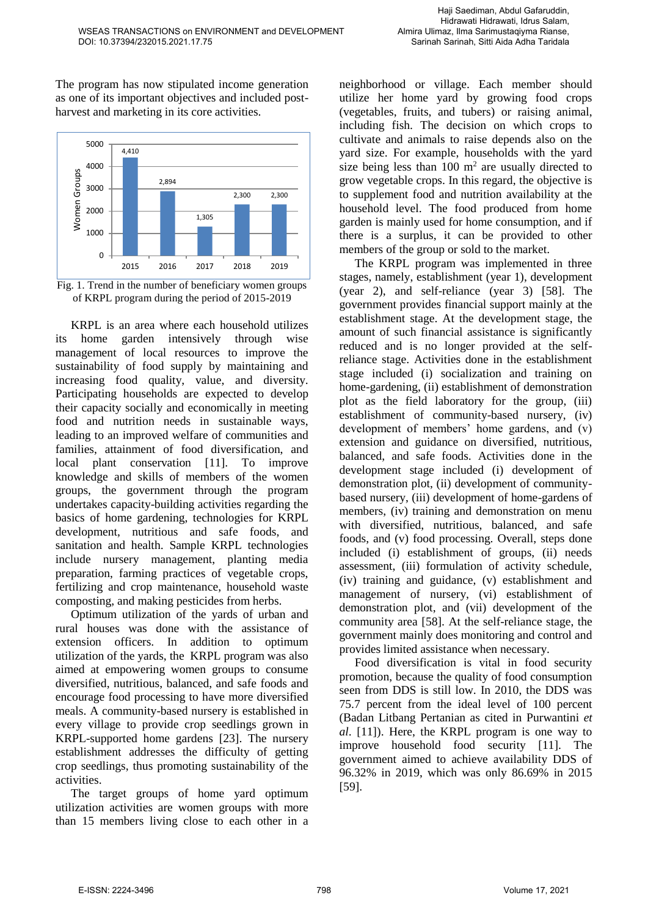The program has now stipulated income generation as one of its important objectives and included postharvest and marketing in its core activities.





KRPL is an area where each household utilizes its home garden intensively through wise management of local resources to improve the sustainability of food supply by maintaining and increasing food quality, value, and diversity. Participating households are expected to develop their capacity socially and economically in meeting food and nutrition needs in sustainable ways, leading to an improved welfare of communities and families, attainment of food diversification, and local plant conservation [11]. To improve knowledge and skills of members of the women groups, the government through the program undertakes capacity-building activities regarding the basics of home gardening, technologies for KRPL development, nutritious and safe foods, and sanitation and health. Sample KRPL technologies include nursery management, planting media preparation, farming practices of vegetable crops, fertilizing and crop maintenance, household waste composting, and making pesticides from herbs.

Optimum utilization of the yards of urban and rural houses was done with the assistance of extension officers. In addition to optimum utilization of the yards, the KRPL program was also aimed at empowering women groups to consume diversified, nutritious, balanced, and safe foods and encourage food processing to have more diversified meals. A community-based nursery is established in every village to provide crop seedlings grown in KRPL-supported home gardens [23]. The nursery establishment addresses the difficulty of getting crop seedlings, thus promoting sustainability of the activities.

The target groups of home yard optimum utilization activities are women groups with more than 15 members living close to each other in a neighborhood or village. Each member should utilize her home yard by growing food crops (vegetables, fruits, and tubers) or raising animal, including fish. The decision on which crops to cultivate and animals to raise depends also on the yard size. For example, households with the yard size being less than  $100 \text{ m}^2$  are usually directed to grow vegetable crops. In this regard, the objective is to supplement food and nutrition availability at the household level. The food produced from home garden is mainly used for home consumption, and if there is a surplus, it can be provided to other members of the group or sold to the market.

The KRPL program was implemented in three stages, namely, establishment (year 1), development (year 2), and self-reliance (year 3) [58]. The government provides financial support mainly at the establishment stage. At the development stage, the amount of such financial assistance is significantly reduced and is no longer provided at the selfreliance stage. Activities done in the establishment stage included (i) socialization and training on home-gardening, (ii) establishment of demonstration plot as the field laboratory for the group, (iii) establishment of community-based nursery, (iv) development of members' home gardens, and (v) extension and guidance on diversified, nutritious, balanced, and safe foods. Activities done in the development stage included (i) development of demonstration plot, (ii) development of communitybased nursery, (iii) development of home-gardens of members, (iv) training and demonstration on menu with diversified, nutritious, balanced, and safe foods, and (v) food processing. Overall, steps done included (i) establishment of groups, (ii) needs assessment, (iii) formulation of activity schedule, (iv) training and guidance, (v) establishment and management of nursery, (vi) establishment of demonstration plot, and (vii) development of the community area [58]. At the self-reliance stage, the government mainly does monitoring and control and provides limited assistance when necessary.

Food diversification is vital in food security promotion, because the quality of food consumption seen from DDS is still low. In 2010, the DDS was 75.7 percent from the ideal level of 100 percent (Badan Litbang Pertanian as cited in Purwantini *et al*. [11]). Here, the KRPL program is one way to improve household food security [11]. The government aimed to achieve availability DDS of 96.32% in 2019, which was only 86.69% in 2015 [59].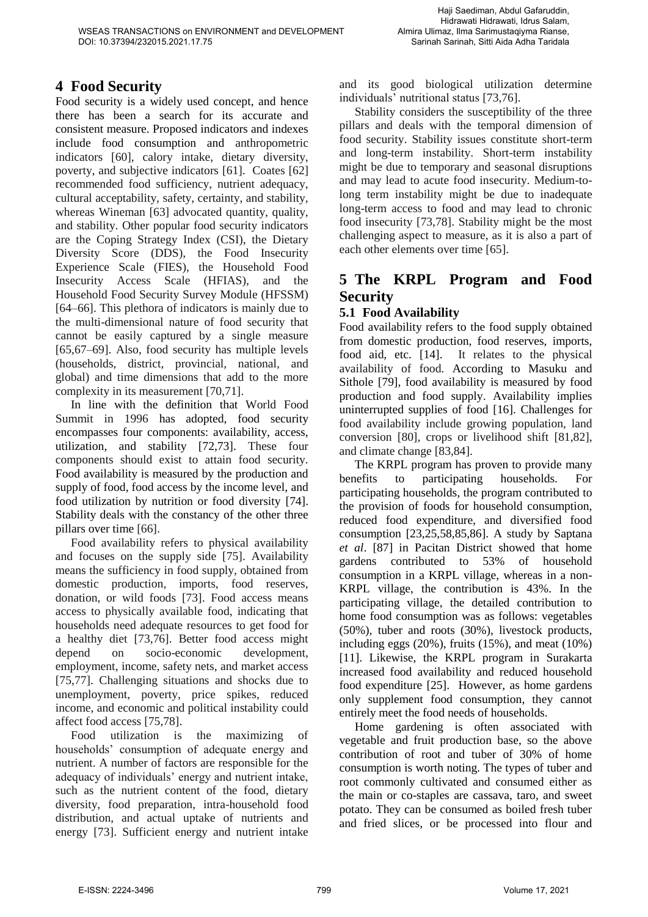### **4 Food Security**

Food security is a widely used concept, and hence there has been a search for its accurate and consistent measure. Proposed indicators and indexes include food consumption and anthropometric indicators [60], calory intake, dietary diversity, poverty, and subjective indicators [61]. Coates [62] recommended food sufficiency, nutrient adequacy, cultural acceptability, safety, certainty, and stability, whereas Wineman [63] advocated quantity, quality, and stability. Other popular food security indicators are the Coping Strategy Index (CSI), the Dietary Diversity Score (DDS), the Food Insecurity Experience Scale (FIES), the Household Food Insecurity Access Scale (HFIAS), and the Household Food Security Survey Module (HFSSM) [64–66]. This plethora of indicators is mainly due to the multi-dimensional nature of food security that cannot be easily captured by a single measure [65,67–69]. Also, food security has multiple levels (households, district, provincial, national, and global) and time dimensions that add to the more complexity in its measurement [70,71].

In line with the definition that World Food Summit in 1996 has adopted, food security encompasses four components: availability, access, utilization, and stability [72,73]. These four components should exist to attain food security. Food availability is measured by the production and supply of food, food access by the income level, and food utilization by nutrition or food diversity [74]. Stability deals with the constancy of the other three pillars over time [66].

Food availability refers to physical availability and focuses on the supply side [75]. Availability means the sufficiency in food supply, obtained from domestic production, imports, food reserves, donation, or wild foods [73]. Food access means access to physically available food, indicating that households need adequate resources to get food for a healthy diet [73,76]. Better food access might depend on socio-economic development, employment, income, safety nets, and market access [75,77]. Challenging situations and shocks due to unemployment, poverty, price spikes, reduced income, and economic and political instability could affect food access [75,78].

Food utilization is the maximizing of households' consumption of adequate energy and nutrient. A number of factors are responsible for the adequacy of individuals' energy and nutrient intake, such as the nutrient content of the food, dietary diversity, food preparation, intra-household food distribution, and actual uptake of nutrients and energy [73]. Sufficient energy and nutrient intake and its good biological utilization determine individuals' nutritional status [73,76].

Stability considers the susceptibility of the three pillars and deals with the temporal dimension of food security. Stability issues constitute short-term and long-term instability. Short-term instability might be due to temporary and seasonal disruptions and may lead to acute food insecurity. Medium-tolong term instability might be due to inadequate long-term access to food and may lead to chronic food insecurity [73,78]. Stability might be the most challenging aspect to measure, as it is also a part of each other elements over time [65].

### **5 The KRPL Program and Food Security**

#### **5.1 Food Availability**

Food availability refers to the food supply obtained from domestic production, food reserves, imports, food aid, etc. [14]. It relates to the physical availability of food. According to Masuku and Sithole [79], food availability is measured by food production and food supply. Availability implies uninterrupted supplies of food [16]. Challenges for food availability include growing population, land conversion [80], crops or livelihood shift [81,82], and climate change [83,84].

The KRPL program has proven to provide many benefits to participating households. For participating households, the program contributed to the provision of foods for household consumption, reduced food expenditure, and diversified food consumption [23,25,58,85,86]. A study by Saptana *et al*. [87] in Pacitan District showed that home gardens contributed to 53% of household consumption in a KRPL village, whereas in a non-KRPL village, the contribution is 43%. In the participating village, the detailed contribution to home food consumption was as follows: vegetables (50%), tuber and roots (30%), livestock products, including eggs  $(20\%)$ , fruits  $(15\%)$ , and meat  $(10\%)$ [11]. Likewise, the KRPL program in Surakarta increased food availability and reduced household food expenditure [25]. However, as home gardens only supplement food consumption, they cannot entirely meet the food needs of households.

Home gardening is often associated with vegetable and fruit production base, so the above contribution of root and tuber of 30% of home consumption is worth noting. The types of tuber and root commonly cultivated and consumed either as the main or co-staples are cassava, taro, and sweet potato. They can be consumed as boiled fresh tuber and fried slices, or be processed into flour and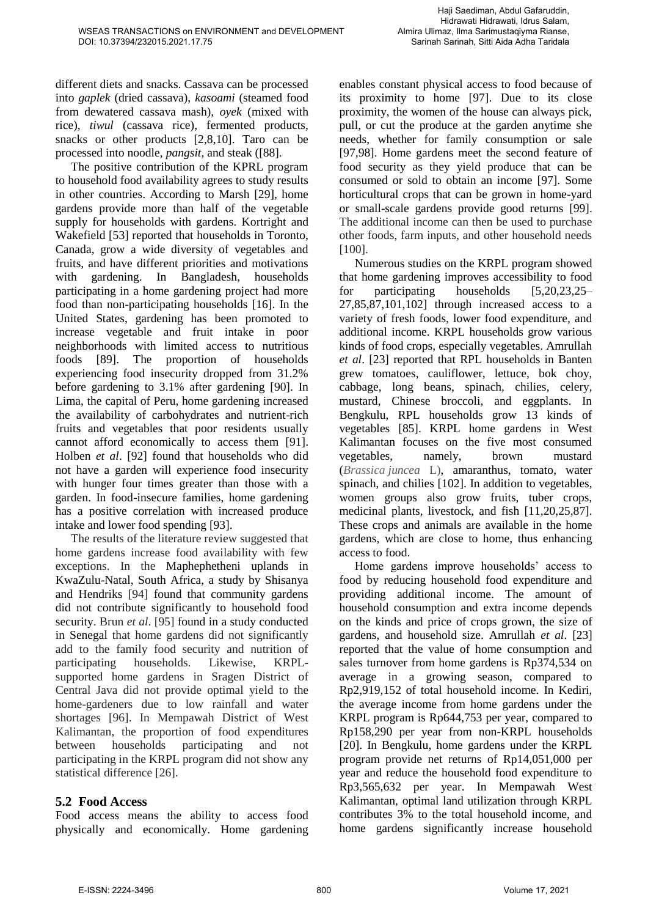different diets and snacks. Cassava can be processed into *gaplek* (dried cassava), *kasoami* (steamed food from dewatered cassava mash), *oyek* (mixed with rice), *tiwul* (cassava rice), fermented products, snacks or other products [2,8,10]. Taro can be processed into noodle, *pangsit*, and steak ([88].

The positive contribution of the KPRL program to household food availability agrees to study results in other countries. According to Marsh [29], home gardens provide more than half of the vegetable supply for households with gardens. Kortright and Wakefield [53] reported that households in Toronto, Canada, grow a wide diversity of vegetables and fruits, and have different priorities and motivations with gardening. In Bangladesh, households participating in a home gardening project had more food than non-participating households [16]. In the United States, gardening has been promoted to increase vegetable and fruit intake in poor neighborhoods with limited access to nutritious foods [89]. The proportion of households experiencing food insecurity dropped from 31.2% before gardening to 3.1% after gardening [90]. In Lima, the capital of Peru, home gardening increased the availability of carbohydrates and nutrient-rich fruits and vegetables that poor residents usually cannot afford economically to access them [91]. Holben *et al*. [92] found that households who did not have a garden will experience food insecurity with hunger four times greater than those with a garden. In food-insecure families, home gardening has a positive correlation with increased produce intake and lower food spending [93].

The results of the literature review suggested that home gardens increase food availability with few exceptions. In the Maphephetheni uplands in KwaZulu-Natal, South Africa, a study by Shisanya and Hendriks [94] found that community gardens did not contribute significantly to household food security. Brun *et al*. [95] found in a study conducted in Senegal that home gardens did not significantly add to the family food security and nutrition of participating households. Likewise, KRPLsupported home gardens in Sragen District of Central Java did not provide optimal yield to the home-gardeners due to low rainfall and water shortages [96]. In Mempawah District of West Kalimantan, the proportion of food expenditures between households participating and not participating in the KRPL program did not show any statistical difference [26].

### **5.2 Food Access**

Food access means the ability to access food physically and economically. Home gardening enables constant physical access to food because of its proximity to home [97]. Due to its close proximity, the women of the house can always pick, pull, or cut the produce at the garden anytime she needs, whether for family consumption or sale [97,98]. Home gardens meet the second feature of food security as they yield produce that can be consumed or sold to obtain an income [97]. Some horticultural crops that can be grown in home-yard or small-scale gardens provide good returns [99]. The additional income can then be used to purchase other foods, farm inputs, and other household needs [100].

Numerous studies on the KRPL program showed that home gardening improves accessibility to food for participating households [5,20,23,25– 27,85,87,101,102] through increased access to a variety of fresh foods, lower food expenditure, and additional income. KRPL households grow various kinds of food crops, especially vegetables. Amrullah *et al*. [23] reported that RPL households in Banten grew tomatoes, cauliflower, lettuce, bok choy, cabbage, long beans, spinach, chilies, celery, mustard, Chinese broccoli, and eggplants. In Bengkulu, RPL households grow 13 kinds of vegetables [85]. KRPL home gardens in West Kalimantan focuses on the five most consumed vegetables, namely, brown mustard (*Brassica juncea* L), amaranthus, tomato, water spinach, and chilies [102]. In addition to vegetables, women groups also grow fruits, tuber crops, medicinal plants, livestock, and fish [11,20,25,87]. These crops and animals are available in the home gardens, which are close to home, thus enhancing access to food.

Home gardens improve households' access to food by reducing household food expenditure and providing additional income. The amount of household consumption and extra income depends on the kinds and price of crops grown, the size of gardens, and household size. Amrullah *et al*. [23] reported that the value of home consumption and sales turnover from home gardens is Rp374,534 on average in a growing season, compared to Rp2,919,152 of total household income. In Kediri, the average income from home gardens under the KRPL program is Rp644,753 per year, compared to Rp158,290 per year from non-KRPL households [20]. In Bengkulu, home gardens under the KRPL program provide net returns of Rp14,051,000 per year and reduce the household food expenditure to Rp3,565,632 per year. In Mempawah West Kalimantan, optimal land utilization through KRPL contributes 3% to the total household income, and home gardens significantly increase household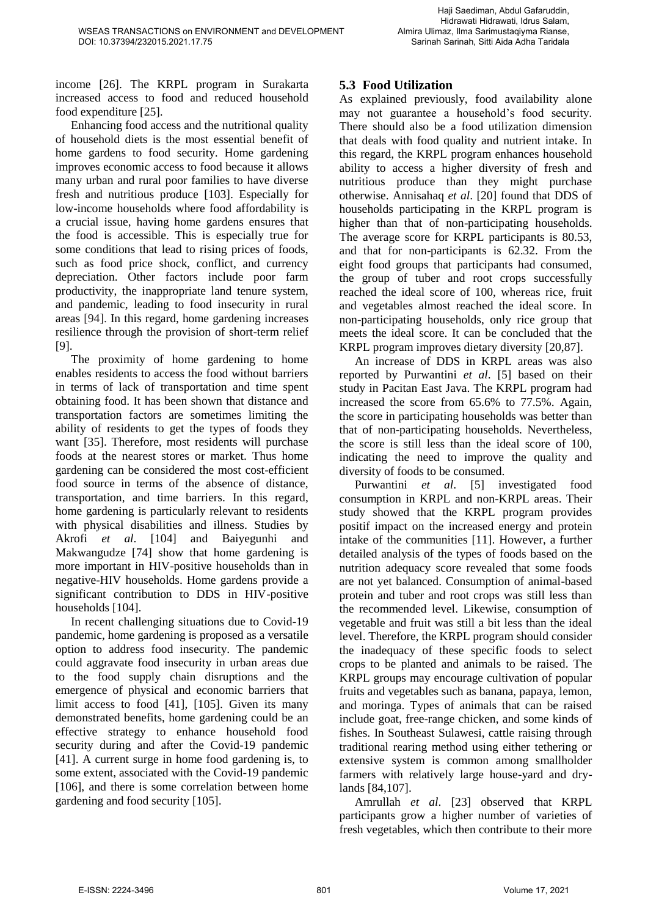income [26]. The KRPL program in Surakarta increased access to food and reduced household food expenditure [25].

Enhancing food access and the nutritional quality of household diets is the most essential benefit of home gardens to food security. Home gardening improves economic access to food because it allows many urban and rural poor families to have diverse fresh and nutritious produce [103]. Especially for low-income households where food affordability is a crucial issue, having home gardens ensures that the food is accessible. This is especially true for some conditions that lead to rising prices of foods, such as food price shock, conflict, and currency depreciation. Other factors include poor farm productivity, the inappropriate land tenure system, and pandemic, leading to food insecurity in rural areas [94]. In this regard, home gardening increases resilience through the provision of short-term relief [9].

The proximity of home gardening to home enables residents to access the food without barriers in terms of lack of transportation and time spent obtaining food. It has been shown that distance and transportation factors are sometimes limiting the ability of residents to get the types of foods they want [35]. Therefore, most residents will purchase foods at the nearest stores or market. Thus home gardening can be considered the most cost-efficient food source in terms of the absence of distance, transportation, and time barriers. In this regard, home gardening is particularly relevant to residents with physical disabilities and illness. Studies by Akrofi *et al*. [104] and Baiyegunhi and Makwangudze [74] show that home gardening is more important in HIV-positive households than in negative-HIV households. Home gardens provide a significant contribution to DDS in HIV-positive households [104].

In recent challenging situations due to Covid-19 pandemic, home gardening is proposed as a versatile option to address food insecurity. The pandemic could aggravate food insecurity in urban areas due to the food supply chain disruptions and the emergence of physical and economic barriers that limit access to food [41], [105]. Given its many demonstrated benefits, home gardening could be an effective strategy to enhance household food security during and after the Covid-19 pandemic [41]. A current surge in home food gardening is, to some extent, associated with the Covid-19 pandemic [106], and there is some correlation between home gardening and food security [105].

### **5.3 Food Utilization**

As explained previously, food availability alone may not guarantee a household's food security. There should also be a food utilization dimension that deals with food quality and nutrient intake. In this regard, the KRPL program enhances household ability to access a higher diversity of fresh and nutritious produce than they might purchase otherwise. Annisahaq *et al*. [20] found that DDS of households participating in the KRPL program is higher than that of non-participating households. The average score for KRPL participants is 80.53, and that for non-participants is 62.32. From the eight food groups that participants had consumed, the group of tuber and root crops successfully reached the ideal score of 100, whereas rice, fruit and vegetables almost reached the ideal score. In non-participating households, only rice group that meets the ideal score. It can be concluded that the KRPL program improves dietary diversity [20,87].

An increase of DDS in KRPL areas was also reported by Purwantini *et al*. [5] based on their study in Pacitan East Java. The KRPL program had increased the score from 65.6% to 77.5%. Again, the score in participating households was better than that of non-participating households. Nevertheless, the score is still less than the ideal score of 100, indicating the need to improve the quality and diversity of foods to be consumed.

Purwantini *et al*. [5] investigated food consumption in KRPL and non-KRPL areas. Their study showed that the KRPL program provides positif impact on the increased energy and protein intake of the communities [11]. However, a further detailed analysis of the types of foods based on the nutrition adequacy score revealed that some foods are not yet balanced. Consumption of animal-based protein and tuber and root crops was still less than the recommended level. Likewise, consumption of vegetable and fruit was still a bit less than the ideal level. Therefore, the KRPL program should consider the inadequacy of these specific foods to select crops to be planted and animals to be raised. The KRPL groups may encourage cultivation of popular fruits and vegetables such as banana, papaya, lemon, and moringa. Types of animals that can be raised include goat, free-range chicken, and some kinds of fishes. In Southeast Sulawesi, cattle raising through traditional rearing method using either tethering or extensive system is common among smallholder farmers with relatively large house-yard and drylands [84,107].

Amrullah *et al*. [23] observed that KRPL participants grow a higher number of varieties of fresh vegetables, which then contribute to their more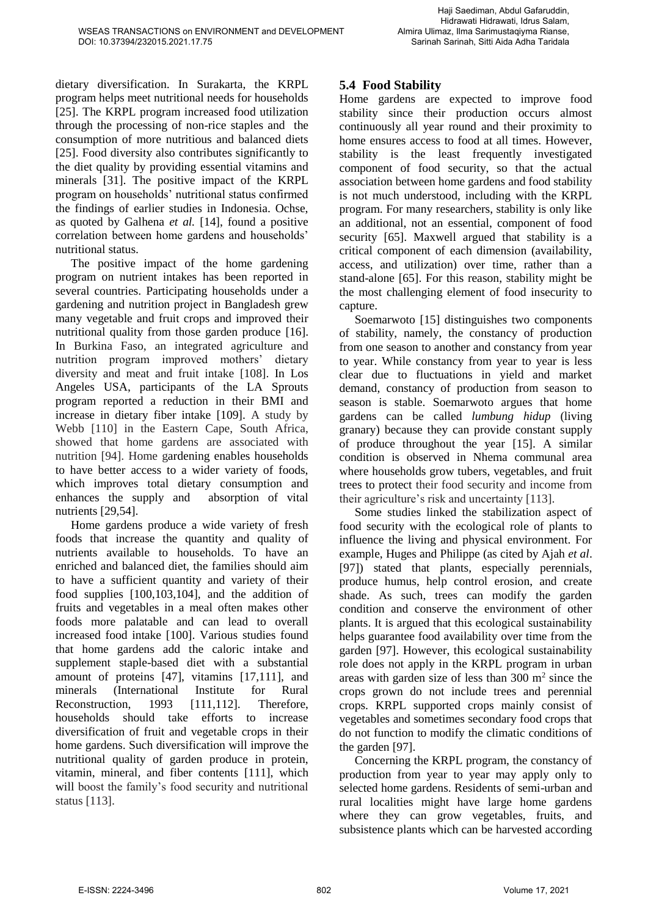dietary diversification. In Surakarta, the KRPL program helps meet nutritional needs for households [25]. The KRPL program increased food utilization through the processing of non-rice staples and the consumption of more nutritious and balanced diets [25]. Food diversity also contributes significantly to the diet quality by providing essential vitamins and minerals [31]. The positive impact of the KRPL program on households' nutritional status confirmed the findings of earlier studies in Indonesia. Ochse, as quoted by Galhena *et al.* [14], found a positive correlation between home gardens and households' nutritional status.

The positive impact of the home gardening program on nutrient intakes has been reported in several countries. Participating households under a gardening and nutrition project in Bangladesh grew many vegetable and fruit crops and improved their nutritional quality from those garden produce [16]. In Burkina Faso, an integrated agriculture and nutrition program improved mothers' dietary diversity and meat and fruit intake [108]. In Los Angeles USA, participants of the LA Sprouts program reported a reduction in their BMI and increase in dietary fiber intake [109]. A study by Webb [110] in the Eastern Cape, South Africa, showed that home gardens are associated with nutrition [94]. Home gardening enables households to have better access to a wider variety of foods, which improves total dietary consumption and enhances the supply and absorption of vital nutrients [29,54].

Home gardens produce a wide variety of fresh foods that increase the quantity and quality of nutrients available to households. To have an enriched and balanced diet, the families should aim to have a sufficient quantity and variety of their food supplies [100,103,104], and the addition of fruits and vegetables in a meal often makes other foods more palatable and can lead to overall increased food intake [100]. Various studies found that home gardens add the caloric intake and supplement staple-based diet with a substantial amount of proteins [47], vitamins [17,111], and minerals (International Institute for Rural Reconstruction, 1993 [111,112]. Therefore, households should take efforts to increase diversification of fruit and vegetable crops in their home gardens. Such diversification will improve the nutritional quality of garden produce in protein, vitamin, mineral, and fiber contents [111], which will boost the family's food security and nutritional status [113].

### **5.4 Food Stability**

Home gardens are expected to improve food stability since their production occurs almost continuously all year round and their proximity to home ensures access to food at all times. However, stability is the least frequently investigated component of food security, so that the actual association between home gardens and food stability is not much understood, including with the KRPL program. For many researchers, stability is only like an additional, not an essential, component of food security [65]. Maxwell argued that stability is a critical component of each dimension (availability, access, and utilization) over time, rather than a stand-alone [65]. For this reason, stability might be the most challenging element of food insecurity to capture.

Soemarwoto [15] distinguishes two components of stability, namely, the constancy of production from one season to another and constancy from year to year. While constancy from year to year is less clear due to fluctuations in yield and market demand, constancy of production from season to season is stable. Soemarwoto argues that home gardens can be called *lumbung hidup* (living granary) because they can provide constant supply of produce throughout the year [15]. A similar condition is observed in Nhema communal area where households grow tubers, vegetables, and fruit trees to protect their food security and income from their agriculture's risk and uncertainty [113].

Some studies linked the stabilization aspect of food security with the ecological role of plants to influence the living and physical environment. For example, Huges and Philippe (as cited by Ajah *et al*. [97]) stated that plants, especially perennials, produce humus, help control erosion, and create shade. As such, trees can modify the garden condition and conserve the environment of other plants. It is argued that this ecological sustainability helps guarantee food availability over time from the garden [97]. However, this ecological sustainability role does not apply in the KRPL program in urban areas with garden size of less than  $300 \text{ m}^2$  since the crops grown do not include trees and perennial crops. KRPL supported crops mainly consist of vegetables and sometimes secondary food crops that do not function to modify the climatic conditions of the garden [97].

Concerning the KRPL program, the constancy of production from year to year may apply only to selected home gardens. Residents of semi-urban and rural localities might have large home gardens where they can grow vegetables, fruits, and subsistence plants which can be harvested according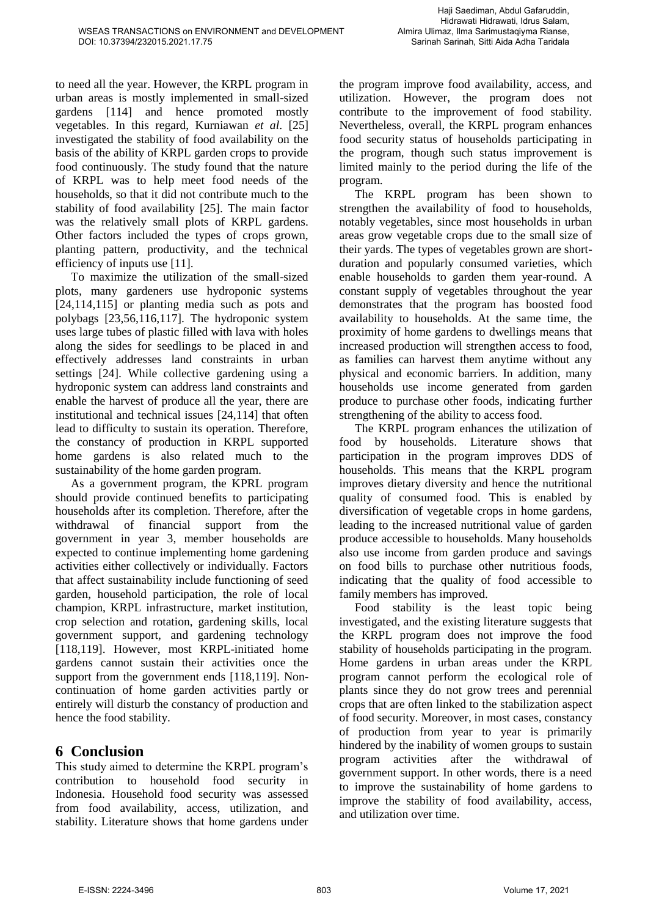to need all the year. However, the KRPL program in urban areas is mostly implemented in small-sized gardens [114] and hence promoted mostly vegetables. In this regard, Kurniawan *et al*. [25] investigated the stability of food availability on the basis of the ability of KRPL garden crops to provide food continuously. The study found that the nature of KRPL was to help meet food needs of the households, so that it did not contribute much to the stability of food availability [25]. The main factor was the relatively small plots of KRPL gardens. Other factors included the types of crops grown, planting pattern, productivity, and the technical efficiency of inputs use [11].

To maximize the utilization of the small-sized plots, many gardeners use hydroponic systems [24,114,115] or planting media such as pots and polybags [23,56,116,117]. The hydroponic system uses large tubes of plastic filled with lava with holes along the sides for seedlings to be placed in and effectively addresses land constraints in urban settings [24]. While collective gardening using a hydroponic system can address land constraints and enable the harvest of produce all the year, there are institutional and technical issues [24,114] that often lead to difficulty to sustain its operation. Therefore, the constancy of production in KRPL supported home gardens is also related much to the sustainability of the home garden program.

As a government program, the KPRL program should provide continued benefits to participating households after its completion. Therefore, after the withdrawal of financial support from the government in year 3, member households are expected to continue implementing home gardening activities either collectively or individually. Factors that affect sustainability include functioning of seed garden, household participation, the role of local champion, KRPL infrastructure, market institution, crop selection and rotation, gardening skills, local government support, and gardening technology [118,119]. However, most KRPL-initiated home gardens cannot sustain their activities once the support from the government ends [118,119]. Noncontinuation of home garden activities partly or entirely will disturb the constancy of production and hence the food stability.

### **6 Conclusion**

This study aimed to determine the KRPL program's contribution to household food security in Indonesia. Household food security was assessed from food availability, access, utilization, and stability. Literature shows that home gardens under the program improve food availability, access, and utilization. However, the program does not contribute to the improvement of food stability. Nevertheless, overall, the KRPL program enhances food security status of households participating in the program, though such status improvement is limited mainly to the period during the life of the program.

The KRPL program has been shown to strengthen the availability of food to households, notably vegetables, since most households in urban areas grow vegetable crops due to the small size of their yards. The types of vegetables grown are shortduration and popularly consumed varieties, which enable households to garden them year-round. A constant supply of vegetables throughout the year demonstrates that the program has boosted food availability to households. At the same time, the proximity of home gardens to dwellings means that increased production will strengthen access to food, as families can harvest them anytime without any physical and economic barriers. In addition, many households use income generated from garden produce to purchase other foods, indicating further strengthening of the ability to access food.

The KRPL program enhances the utilization of food by households. Literature shows that participation in the program improves DDS of households. This means that the KRPL program improves dietary diversity and hence the nutritional quality of consumed food. This is enabled by diversification of vegetable crops in home gardens, leading to the increased nutritional value of garden produce accessible to households. Many households also use income from garden produce and savings on food bills to purchase other nutritious foods, indicating that the quality of food accessible to family members has improved.

Food stability is the least topic being investigated, and the existing literature suggests that the KRPL program does not improve the food stability of households participating in the program. Home gardens in urban areas under the KRPL program cannot perform the ecological role of plants since they do not grow trees and perennial crops that are often linked to the stabilization aspect of food security. Moreover, in most cases, constancy of production from year to year is primarily hindered by the inability of women groups to sustain program activities after the withdrawal of government support. In other words, there is a need to improve the sustainability of home gardens to improve the stability of food availability, access, and utilization over time.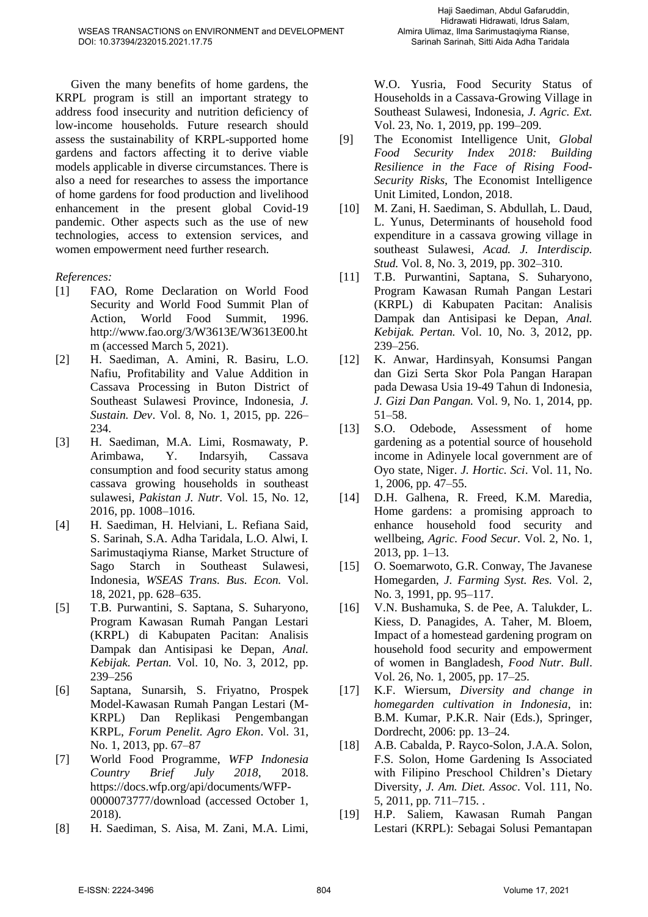Given the many benefits of home gardens, the KRPL program is still an important strategy to address food insecurity and nutrition deficiency of low-income households. Future research should assess the sustainability of KRPL-supported home gardens and factors affecting it to derive viable models applicable in diverse circumstances. There is also a need for researches to assess the importance of home gardens for food production and livelihood enhancement in the present global Covid-19 pandemic. Other aspects such as the use of new technologies, access to extension services, and women empowerment need further research.

#### *References:*

- [1] FAO, Rome Declaration on World Food Security and World Food Summit Plan of Action, World Food Summit, 1996. http://www.fao.org/3/W3613E/W3613E00.ht m (accessed March 5, 2021).
- [2] H. Saediman, A. Amini, R. Basiru, L.O. Nafiu, Profitability and Value Addition in Cassava Processing in Buton District of Southeast Sulawesi Province, Indonesia, *J. Sustain. Dev*. Vol. 8, No. 1, 2015, pp. 226– 234.
- [3] H. Saediman, M.A. Limi, Rosmawaty, P. Arimbawa, Y. Indarsyih, Cassava consumption and food security status among cassava growing households in southeast sulawesi, *Pakistan J. Nutr.* Vol. 15, No. 12, 2016, pp. 1008–1016.
- [4] H. Saediman, H. Helviani, L. Refiana Said, S. Sarinah, S.A. Adha Taridala, L.O. Alwi, I. Sarimustaqiyma Rianse, Market Structure of Sago Starch in Southeast Sulawesi, Indonesia, *WSEAS Trans. Bus. Econ.* Vol. 18, 2021, pp. 628–635.
- [5] T.B. Purwantini, S. Saptana, S. Suharyono, Program Kawasan Rumah Pangan Lestari (KRPL) di Kabupaten Pacitan: Analisis Dampak dan Antisipasi ke Depan, *Anal. Kebijak. Pertan.* Vol. 10, No. 3, 2012, pp. 239–256
- [6] Saptana, Sunarsih, S. Friyatno, Prospek Model-Kawasan Rumah Pangan Lestari (M-KRPL) Dan Replikasi Pengembangan KRPL, *Forum Penelit. Agro Ekon*. Vol. 31, No. 1, 2013, pp. 67–87
- [7] World Food Programme, *WFP Indonesia Country Brief July 2018*, 2018. https://docs.wfp.org/api/documents/WFP-0000073777/download (accessed October 1, 2018).
- [8] H. Saediman, S. Aisa, M. Zani, M.A. Limi,

W.O. Yusria, Food Security Status of Households in a Cassava-Growing Village in Southeast Sulawesi, Indonesia, *J. Agric. Ext.* Vol. 23, No. 1, 2019, pp. 199–209.

- [9] The Economist Intelligence Unit, *Global Food Security Index 2018: Building Resilience in the Face of Rising Food-Security Risks,* The Economist Intelligence Unit Limited, London, 2018.
- [10] M. Zani, H. Saediman, S. Abdullah, L. Daud, L. Yunus, Determinants of household food expenditure in a cassava growing village in southeast Sulawesi, *Acad. J. Interdiscip. Stud.* Vol. 8, No. 3, 2019, pp. 302–310.
- [11] T.B. Purwantini, Saptana, S. Suharyono, Program Kawasan Rumah Pangan Lestari (KRPL) di Kabupaten Pacitan: Analisis Dampak dan Antisipasi ke Depan, *Anal. Kebijak. Pertan.* Vol. 10, No. 3, 2012, pp. 239–256.
- [12] K. Anwar, Hardinsyah, Konsumsi Pangan dan Gizi Serta Skor Pola Pangan Harapan pada Dewasa Usia 19-49 Tahun di Indonesia, *J. Gizi Dan Pangan.* Vol. 9, No. 1, 2014, pp. 51–58.
- [13] S.O. Odebode, Assessment of home gardening as a potential source of household income in Adinyele local government are of Oyo state, Niger. *J. Hortic. Sci*. Vol. 11, No. 1, 2006, pp. 47–55.
- [14] D.H. Galhena, R. Freed, K.M. Maredia, Home gardens: a promising approach to enhance household food security and wellbeing, *Agric. Food Secur.* Vol. 2, No. 1, 2013, pp. 1–13.
- [15] O. Soemarwoto, G.R. Conway, The Javanese Homegarden, *J. Farming Syst. Res.* Vol. 2, No. 3, 1991, pp. 95–117.
- [16] V.N. Bushamuka, S. de Pee, A. Talukder, L. Kiess, D. Panagides, A. Taher, M. Bloem, Impact of a homestead gardening program on household food security and empowerment of women in Bangladesh, *Food Nutr. Bull*. Vol. 26, No. 1, 2005, pp. 17–25.
- [17] K.F. Wiersum, *Diversity and change in homegarden cultivation in Indonesia*, in: B.M. Kumar, P.K.R. Nair (Eds.), Springer, Dordrecht, 2006: pp. 13–24.
- [18] A.B. Cabalda, P. Rayco-Solon, J.A.A. Solon, F.S. Solon, Home Gardening Is Associated with Filipino Preschool Children's Dietary Diversity, *J. Am. Diet. Assoc*. Vol. 111, No. 5, 2011, pp. 711–715. .
- [19] H.P. Saliem, Kawasan Rumah Pangan Lestari (KRPL): Sebagai Solusi Pemantapan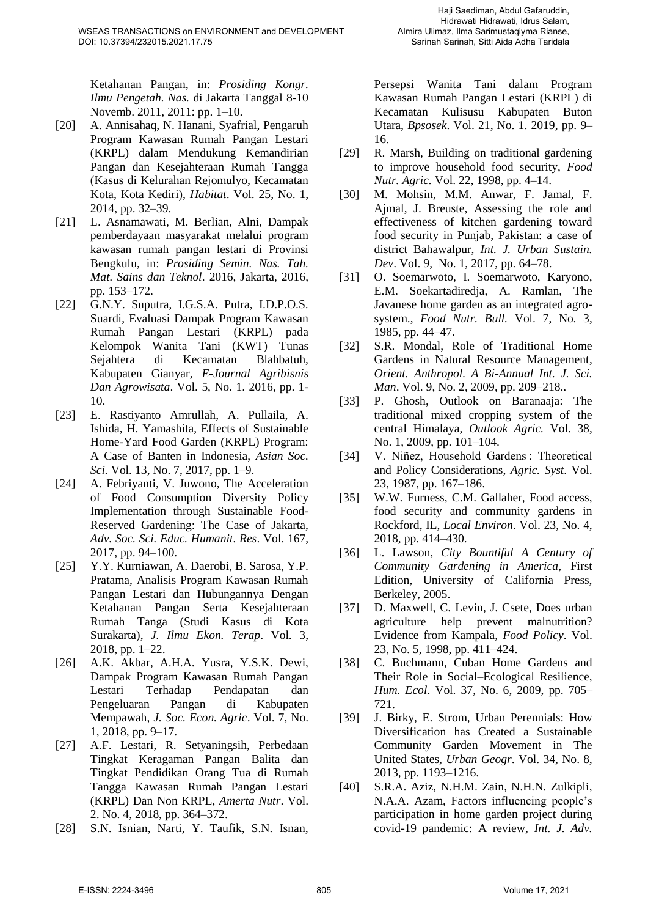Ketahanan Pangan, in: *Prosiding Kongr. Ilmu Pengetah. Nas.* di Jakarta Tanggal 8-10 Novemb. 2011, 2011: pp. 1–10.

- [20] A. Annisahaq, N. Hanani, Syafrial, Pengaruh Program Kawasan Rumah Pangan Lestari (KRPL) dalam Mendukung Kemandirian Pangan dan Kesejahteraan Rumah Tangga (Kasus di Kelurahan Rejomulyo, Kecamatan Kota, Kota Kediri), *Habitat*. Vol. 25, No. 1, 2014, pp. 32–39.
- [21] L. Asnamawati, M. Berlian, Alni, Dampak pemberdayaan masyarakat melalui program kawasan rumah pangan lestari di Provinsi Bengkulu, in: *Prosiding Semin. Nas. Tah. Mat. Sains dan Teknol*. 2016, Jakarta, 2016, pp. 153–172.
- [22] G.N.Y. Suputra, I.G.S.A. Putra, I.D.P.O.S. Suardi, Evaluasi Dampak Program Kawasan Rumah Pangan Lestari (KRPL) pada Kelompok Wanita Tani (KWT) Tunas Sejahtera di Kecamatan Blahbatuh, Kabupaten Gianyar, *E-Journal Agribisnis Dan Agrowisata*. Vol. 5, No. 1. 2016, pp. 1- 10.
- [23] E. Rastiyanto Amrullah, A. Pullaila, A. Ishida, H. Yamashita, Effects of Sustainable Home-Yard Food Garden (KRPL) Program: A Case of Banten in Indonesia, *Asian Soc. Sci.* Vol. 13, No. 7, 2017, pp. 1–9.
- [24] A. Febriyanti, V. Juwono, The Acceleration of Food Consumption Diversity Policy Implementation through Sustainable Food-Reserved Gardening: The Case of Jakarta, *Adv. Soc. Sci. Educ. Humanit. Res*. Vol. 167, 2017, pp. 94–100.
- [25] Y.Y. Kurniawan, A. Daerobi, B. Sarosa, Y.P. Pratama, Analisis Program Kawasan Rumah Pangan Lestari dan Hubungannya Dengan Ketahanan Pangan Serta Kesejahteraan Rumah Tanga (Studi Kasus di Kota Surakarta), *J. Ilmu Ekon. Terap*. Vol. 3, 2018, pp. 1–22.
- [26] A.K. Akbar, A.H.A. Yusra, Y.S.K. Dewi, Dampak Program Kawasan Rumah Pangan Lestari Terhadap Pendapatan dan Pengeluaran Pangan di Kabupaten Mempawah, *J. Soc. Econ. Agric*. Vol. 7, No. 1, 2018, pp. 9–17.
- [27] A.F. Lestari, R. Setyaningsih, Perbedaan Tingkat Keragaman Pangan Balita dan Tingkat Pendidikan Orang Tua di Rumah Tangga Kawasan Rumah Pangan Lestari (KRPL) Dan Non KRPL, *Amerta Nutr*. Vol. 2. No. 4, 2018, pp. 364–372.
- [28] S.N. Isnian, Narti, Y. Taufik, S.N. Isnan,

Persepsi Wanita Tani dalam Program Kawasan Rumah Pangan Lestari (KRPL) di Kecamatan Kulisusu Kabupaten Buton Utara, *Bpsosek*. Vol. 21, No. 1. 2019, pp. 9– 16.

- [29] R. Marsh, Building on traditional gardening to improve household food security, *Food Nutr. Agric.* Vol. 22, 1998, pp. 4–14.
- [30] M. Mohsin, M.M. Anwar, F. Jamal, F. Ajmal, J. Breuste, Assessing the role and effectiveness of kitchen gardening toward food security in Punjab, Pakistan: a case of district Bahawalpur, *Int. J. Urban Sustain. Dev*. Vol. 9, No. 1, 2017, pp. 64–78.
- [31] O. Soemarwoto, I. Soemarwoto, Karyono, E.M. Soekartadiredja, A. Ramlan, The Javanese home garden as an integrated agrosystem., *Food Nutr. Bull.* Vol. 7, No. 3, 1985, pp. 44–47.
- [32] S.R. Mondal, Role of Traditional Home Gardens in Natural Resource Management, *Orient. Anthropol. A Bi-Annual Int. J. Sci. Man*. Vol. 9, No. 2, 2009, pp. 209–218..
- [33] P. Ghosh, Outlook on Baranaaja: The traditional mixed cropping system of the central Himalaya, *Outlook Agric.* Vol. 38, No. 1, 2009, pp. 101–104.
- [34] V. Niñez, Household Gardens : Theoretical and Policy Considerations, *Agric. Syst*. Vol. 23, 1987, pp. 167–186.
- [35] W.W. Furness, C.M. Gallaher, Food access, food security and community gardens in Rockford, IL, *Local Environ*. Vol. 23, No. 4, 2018, pp. 414–430.
- [36] L. Lawson, *City Bountiful A Century of Community Gardening in America*, First Edition, University of California Press, Berkeley, 2005.
- [37] D. Maxwell, C. Levin, J. Csete, Does urban agriculture help prevent malnutrition? Evidence from Kampala, *Food Policy*. Vol. 23, No. 5, 1998, pp. 411–424.
- [38] C. Buchmann, Cuban Home Gardens and Their Role in Social–Ecological Resilience, *Hum. Ecol*. Vol. 37, No. 6, 2009, pp. 705– 721.
- [39] J. Birky, E. Strom, Urban Perennials: How Diversification has Created a Sustainable Community Garden Movement in The United States, *Urban Geogr*. Vol. 34, No. 8, 2013, pp. 1193–1216.
- [40] S.R.A. Aziz, N.H.M. Zain, N.H.N. Zulkipli, N.A.A. Azam, Factors influencing people's participation in home garden project during covid-19 pandemic: A review, *Int. J. Adv.*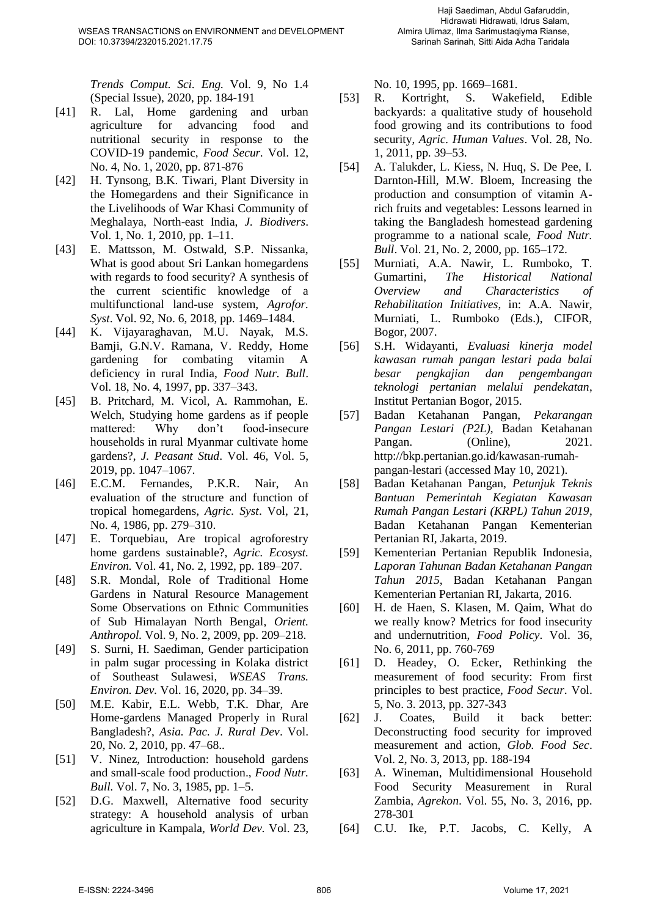*Trends Comput. Sci. Eng.* Vol. 9, No 1.4 (Special Issue), 2020, pp. 184-191

- [41] R. Lal, Home gardening and urban agriculture for advancing food and nutritional security in response to the COVID-19 pandemic, *Food Secur.* Vol. 12, No. 4, No. 1, 2020, pp. 871-876
- [42] H. Tynsong, B.K. Tiwari, Plant Diversity in the Homegardens and their Significance in the Livelihoods of War Khasi Community of Meghalaya, North-east India, *J. Biodivers*. Vol. 1, No. 1, 2010, pp. 1–11.
- [43] E. Mattsson, M. Ostwald, S.P. Nissanka, What is good about Sri Lankan homegardens with regards to food security? A synthesis of the current scientific knowledge of a multifunctional land-use system*, Agrofor. Syst*. Vol. 92, No. 6, 2018, pp. 1469–1484.
- [44] K. Vijayaraghavan, M.U. Nayak, M.S. Bamji, G.N.V. Ramana, V. Reddy, Home gardening for combating vitamin A deficiency in rural India, *Food Nutr. Bull*. Vol. 18, No. 4, 1997, pp. 337–343.
- [45] B. Pritchard, M. Vicol, A. Rammohan, E. Welch, Studying home gardens as if people mattered: Why don't food-insecure households in rural Myanmar cultivate home gardens?, *J. Peasant Stud*. Vol. 46, Vol. 5, 2019, pp. 1047–1067.
- [46] E.C.M. Fernandes, P.K.R. Nair, An evaluation of the structure and function of tropical homegardens, *Agric. Syst*. Vol, 21, No. 4, 1986, pp. 279–310.
- [47] E. Torquebiau, Are tropical agroforestry home gardens sustainable?, *Agric. Ecosyst. Environ.* Vol. 41, No. 2, 1992, pp. 189–207.
- [48] S.R. Mondal, Role of Traditional Home Gardens in Natural Resource Management Some Observations on Ethnic Communities of Sub Himalayan North Bengal, *Orient. Anthropol.* Vol. 9, No. 2, 2009, pp. 209–218.
- [49] S. Surni, H. Saediman, Gender participation in palm sugar processing in Kolaka district of Southeast Sulawesi, *WSEAS Trans. Environ. Dev.* Vol. 16, 2020, pp. 34–39.
- [50] M.E. Kabir, E.L. Webb, T.K. Dhar, Are Home-gardens Managed Properly in Rural Bangladesh?, *Asia. Pac. J. Rural Dev*. Vol. 20, No. 2, 2010, pp. 47–68..
- [51] V. Ninez, Introduction: household gardens and small-scale food production., *Food Nutr. Bull.* Vol. 7, No. 3, 1985, pp. 1–5.
- [52] D.G. Maxwell, Alternative food security strategy: A household analysis of urban agriculture in Kampala, *World Dev.* Vol. 23,

No. 10, 1995, pp. 1669–1681.

- [53] R. Kortright, S. Wakefield, Edible backyards: a qualitative study of household food growing and its contributions to food security, *Agric. Human Values*. Vol. 28, No. 1, 2011, pp. 39–53.
- [54] A. Talukder, L. Kiess, N. Huq, S. De Pee, I. Darnton-Hill, M.W. Bloem, Increasing the production and consumption of vitamin Arich fruits and vegetables: Lessons learned in taking the Bangladesh homestead gardening programme to a national scale, *Food Nutr. Bull*. Vol. 21, No. 2, 2000, pp. 165–172.
- [55] Murniati, A.A. Nawir, L. Rumboko, T. Gumartini, *The Historical National Overview and Characteristics of Rehabilitation Initiatives*, in: A.A. Nawir, Murniati, L. Rumboko (Eds.), CIFOR, Bogor, 2007.
- [56] S.H. Widayanti, *Evaluasi kinerja model kawasan rumah pangan lestari pada balai besar pengkajian dan pengembangan teknologi pertanian melalui pendekatan*, Institut Pertanian Bogor, 2015.
- [57] Badan Ketahanan Pangan, *Pekarangan Pangan Lestari (P2L),* Badan Ketahanan Pangan. (Online), 2021. http://bkp.pertanian.go.id/kawasan-rumahpangan-lestari (accessed May 10, 2021).
- [58] Badan Ketahanan Pangan, *Petunjuk Teknis Bantuan Pemerintah Kegiatan Kawasan Rumah Pangan Lestari (KRPL) Tahun 2019*, Badan Ketahanan Pangan Kementerian Pertanian RI, Jakarta, 2019.
- [59] Kementerian Pertanian Republik Indonesia, *Laporan Tahunan Badan Ketahanan Pangan Tahun 2015*, Badan Ketahanan Pangan Kementerian Pertanian RI, Jakarta, 2016.
- [60] H. de Haen, S. Klasen, M. Qaim, What do we really know? Metrics for food insecurity and undernutrition, *Food Policy*. Vol. 36, No. 6, 2011, pp. 760-769
- [61] D. Headey, O. Ecker, Rethinking the measurement of food security: From first principles to best practice, *Food Secur*. Vol. 5, No. 3. 2013, pp. 327-343
- [62] J. Coates, Build it back better: Deconstructing food security for improved measurement and action, *Glob. Food Sec*. Vol. 2, No. 3, 2013, pp. 188-194
- [63] A. Wineman, Multidimensional Household Food Security Measurement in Rural Zambia, *Agrekon*. Vol. 55, No. 3, 2016, pp. 278-301
- [64] C.U. Ike, P.T. Jacobs, C. Kelly, A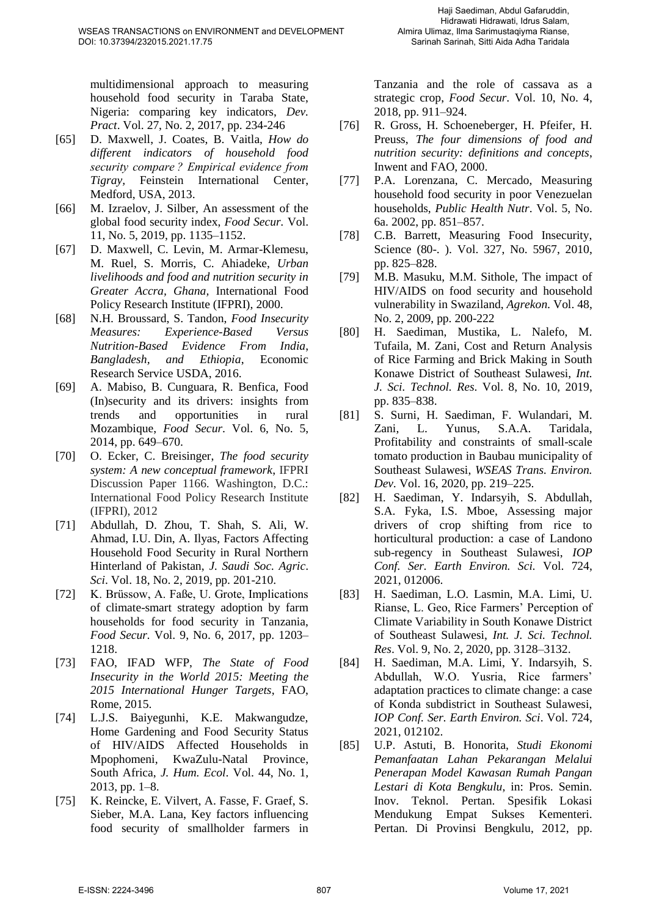multidimensional approach to measuring household food security in Taraba State, Nigeria: comparing key indicators, *Dev. Pract*. Vol. 27, No. 2, 2017, pp. 234-246

- [65] D. Maxwell, J. Coates, B. Vaitla, *How do different indicators of household food security compare ? Empirical evidence from Tigray,* Feinstein International Center, Medford, USA, 2013.
- [66] M. Izraelov, J. Silber, An assessment of the global food security index, *Food Secur.* Vol. 11, No. 5, 2019, pp. 1135–1152.
- [67] D. Maxwell, C. Levin, M. Armar-Klemesu, M. Ruel, S. Morris, C. Ahiadeke, *Urban livelihoods and food and nutrition security in Greater Accra, Ghana,* International Food Policy Research Institute (IFPRI), 2000.
- [68] N.H. Broussard, S. Tandon, *Food Insecurity Measures: Experience-Based Versus Nutrition-Based Evidence From India*, *Bangladesh, and Ethiopia*, Economic Research Service USDA, 2016.
- [69] A. Mabiso, B. Cunguara, R. Benfica, Food (In)security and its drivers: insights from trends and opportunities in rural Mozambique, *Food Secur*. Vol. 6, No. 5, 2014, pp. 649–670.
- [70] O. Ecker, C. Breisinger, *The food security system: A new conceptual framework*, IFPRI Discussion Paper 1166. Washington, D.C.: International Food Policy Research Institute (IFPRI), 2012
- [71] Abdullah, D. Zhou, T. Shah, S. Ali, W. Ahmad, I.U. Din, A. Ilyas, Factors Affecting Household Food Security in Rural Northern Hinterland of Pakistan, *J. Saudi Soc. Agric*. *Sci*. Vol. 18, No. 2, 2019, pp. 201-210.
- [72] K. Brüssow, A. Faße, U. Grote, Implications of climate-smart strategy adoption by farm households for food security in Tanzania, *Food Secur.* Vol. 9, No. 6, 2017, pp. 1203– 1218.
- [73] FAO, IFAD WFP, *The State of Food Insecurity in the World 2015: Meeting the 2015 International Hunger Targets*, FAO, Rome, 2015.
- [74] L.J.S. Baiyegunhi, K.E. Makwangudze, Home Gardening and Food Security Status of HIV/AIDS Affected Households in Mpophomeni, KwaZulu-Natal Province, South Africa, *J. Hum. Ecol*. Vol. 44, No. 1, 2013, pp. 1–8.
- [75] K. Reincke, E. Vilvert, A. Fasse, F. Graef, S. Sieber, M.A. Lana, Key factors influencing food security of smallholder farmers in

Tanzania and the role of cassava as a strategic crop, *Food Secur*. Vol. 10, No. 4, 2018, pp. 911–924.

- [76] R. Gross, H. Schoeneberger, H. Pfeifer, H. Preuss, *The four dimensions of food and nutrition security: definitions and concepts*, Inwent and FAO, 2000.
- [77] P.A. Lorenzana, C. Mercado, Measuring household food security in poor Venezuelan households, *Public Health Nutr*. Vol. 5, No. 6a. 2002, pp. 851–857.
- [78] C.B. Barrett, Measuring Food Insecurity, Science (80-. ). Vol. 327, No. 5967, 2010, pp. 825–828.
- [79] M.B. Masuku, M.M. Sithole, The impact of HIV/AIDS on food security and household vulnerability in Swaziland, *Agrekon*. Vol. 48, No. 2, 2009, pp. 200-222
- [80] H. Saediman, Mustika, L. Nalefo, M. Tufaila, M. Zani, Cost and Return Analysis of Rice Farming and Brick Making in South Konawe District of Southeast Sulawesi, *Int. J. Sci. Technol. Res*. Vol. 8, No. 10, 2019, pp. 835–838.
- [81] S. Surni, H. Saediman, F. Wulandari, M. Zani, L. Yunus, S.A.A. Taridala, Profitability and constraints of small-scale tomato production in Baubau municipality of Southeast Sulawesi, *WSEAS Trans. Environ. Dev.* Vol. 16, 2020, pp. 219–225.
- [82] H. Saediman, Y. Indarsyih, S. Abdullah, S.A. Fyka, I.S. Mboe, Assessing major drivers of crop shifting from rice to horticultural production: a case of Landono sub-regency in Southeast Sulawesi, *IOP Conf. Ser. Earth Environ. Sci.* Vol. 724, 2021, 012006.
- [83] H. Saediman, L.O. Lasmin, M.A. Limi, U. Rianse, L. Geo, Rice Farmers' Perception of Climate Variability in South Konawe District of Southeast Sulawesi, *Int. J. Sci. Technol. Res*. Vol. 9, No. 2, 2020, pp. 3128–3132.
- [84] H. Saediman, M.A. Limi, Y. Indarsyih, S. Abdullah, W.O. Yusria, Rice farmers' adaptation practices to climate change: a case of Konda subdistrict in Southeast Sulawesi, *IOP Conf. Ser. Earth Environ. Sci*. Vol. 724, 2021, 012102.
- [85] U.P. Astuti, B. Honorita, *Studi Ekonomi Pemanfaatan Lahan Pekarangan Melalui Penerapan Model Kawasan Rumah Pangan Lestari di Kota Bengkulu*, in: Pros. Semin. Inov. Teknol. Pertan. Spesifik Lokasi Mendukung Empat Sukses Kementeri. Pertan. Di Provinsi Bengkulu, 2012, pp.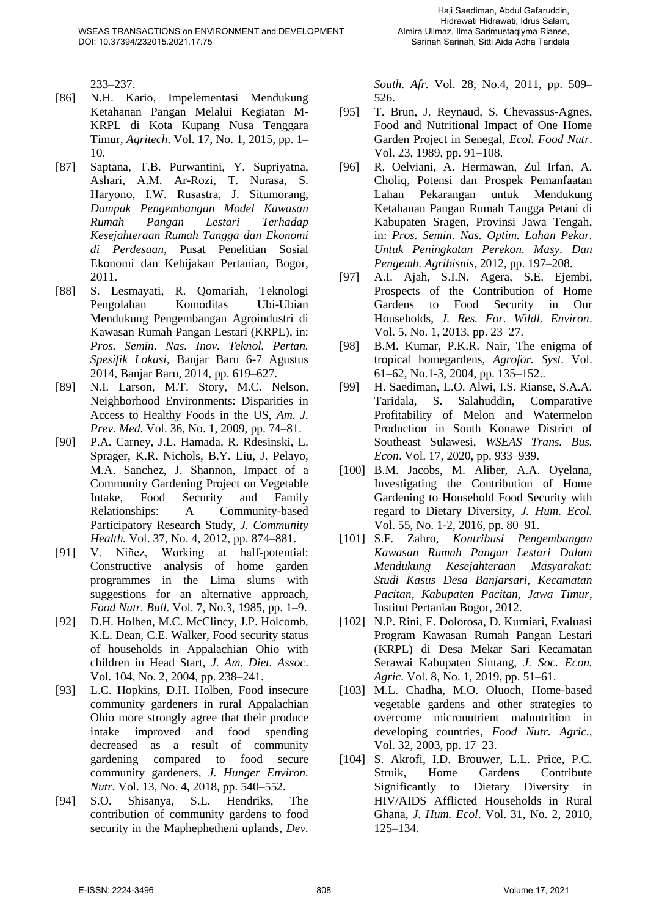233–237.

- [86] N.H. Kario, Impelementasi Mendukung Ketahanan Pangan Melalui Kegiatan M-KRPL di Kota Kupang Nusa Tenggara Timur, *Agritech*. Vol. 17, No. 1, 2015, pp. 1– 10.
- [87] Saptana, T.B. Purwantini, Y. Supriyatna, Ashari, A.M. Ar-Rozi, T. Nurasa, S. Haryono, I.W. Rusastra, J. Situmorang, *Dampak Pengembangan Model Kawasan Rumah Pangan Lestari Terhadap Kesejahteraan Rumah Tangga dan Ekonomi di Perdesaan*, Pusat Penelitian Sosial Ekonomi dan Kebijakan Pertanian, Bogor, 2011.
- [88] S. Lesmayati, R. Qomariah, Teknologi Pengolahan Komoditas Ubi-Ubian Mendukung Pengembangan Agroindustri di Kawasan Rumah Pangan Lestari (KRPL), in: *Pros. Semin. Nas. Inov. Teknol. Pertan. Spesifik Lokasi*, Banjar Baru 6-7 Agustus 2014, Banjar Baru, 2014, pp. 619–627.
- [89] N.I. Larson, M.T. Story, M.C. Nelson, Neighborhood Environments: Disparities in Access to Healthy Foods in the US, *Am. J. Prev. Med.* Vol. 36, No. 1, 2009, pp. 74–81.
- [90] P.A. Carney, J.L. Hamada, R. Rdesinski, L. Sprager, K.R. Nichols, B.Y. Liu, J. Pelayo, M.A. Sanchez, J. Shannon, Impact of a Community Gardening Project on Vegetable Intake, Food Security and Family Relationships: A Community-based Participatory Research Study, *J. Community Health.* Vol. 37, No. 4, 2012, pp. 874–881.
- [91] V. Niñez, Working at half-potential: Constructive analysis of home garden programmes in the Lima slums with suggestions for an alternative approach, *Food Nutr. Bull.* Vol. 7, No.3, 1985, pp. 1–9.
- [92] D.H. Holben, M.C. McClincy, J.P. Holcomb, K.L. Dean, C.E. Walker, Food security status of households in Appalachian Ohio with children in Head Start, *J. Am. Diet. Assoc*. Vol. 104, No. 2, 2004, pp. 238–241.
- [93] L.C. Hopkins, D.H. Holben, Food insecure community gardeners in rural Appalachian Ohio more strongly agree that their produce intake improved and food spending decreased as a result of community gardening compared to food secure community gardeners, *J. Hunger Environ. Nutr.* Vol. 13, No. 4, 2018, pp. 540–552.
- [94] S.O. Shisanya, S.L. Hendriks, The contribution of community gardens to food security in the Maphephetheni uplands, *Dev.*

*South. Afr.* Vol. 28, No.4, 2011, pp. 509– 526.

- [95] T. Brun, J. Reynaud, S. Chevassus-Agnes, Food and Nutritional Impact of One Home Garden Project in Senegal, *Ecol. Food Nutr*. Vol. 23, 1989, pp. 91–108.
- [96] R. Oelviani, A. Hermawan, Zul Irfan, A. Choliq, Potensi dan Prospek Pemanfaatan Lahan Pekarangan untuk Mendukung Ketahanan Pangan Rumah Tangga Petani di Kabupaten Sragen, Provinsi Jawa Tengah, in: *Pros. Semin. Nas. Optim. Lahan Pekar. Untuk Peningkatan Perekon. Masy. Dan Pengemb. Agribisnis*, 2012, pp. 197–208.
- [97] A.I. Ajah, S.I.N. Agera, S.E. Ejembi, Prospects of the Contribution of Home Gardens to Food Security in Our Households, *J. Res. For. Wildl. Environ*. Vol. 5, No. 1, 2013, pp. 23–27.
- [98] B.M. Kumar, P.K.R. Nair, The enigma of tropical homegardens, *Agrofor. Syst*. Vol. 61–62, No.1-3, 2004, pp. 135–152..
- [99] H. Saediman, L.O. Alwi, I.S. Rianse, S.A.A. Taridala, S. Salahuddin, Comparative Profitability of Melon and Watermelon Production in South Konawe District of Southeast Sulawesi, *WSEAS Trans. Bus. Econ*. Vol. 17, 2020, pp. 933–939.
- [100] B.M. Jacobs, M. Aliber, A.A. Oyelana, Investigating the Contribution of Home Gardening to Household Food Security with regard to Dietary Diversity, *J. Hum. Ecol.* Vol. 55, No. 1-2, 2016, pp. 80–91.
- [101] S.F. Zahro, *Kontribusi Pengembangan Kawasan Rumah Pangan Lestari Dalam Mendukung Kesejahteraan Masyarakat: Studi Kasus Desa Banjarsari, Kecamatan Pacitan, Kabupaten Pacitan, Jawa Timur*, Institut Pertanian Bogor, 2012.
- [102] N.P. Rini, E. Dolorosa, D. Kurniari, Evaluasi Program Kawasan Rumah Pangan Lestari (KRPL) di Desa Mekar Sari Kecamatan Serawai Kabupaten Sintang, *J. Soc. Econ. Agric*. Vol. 8, No. 1, 2019, pp. 51–61.
- [103] M.L. Chadha, M.O. Oluoch, Home-based vegetable gardens and other strategies to overcome micronutrient malnutrition in developing countries, *Food Nutr. Agric.,* Vol. 32, 2003, pp. 17–23.
- [104] S. Akrofi, I.D. Brouwer, L.L. Price, P.C. Struik, Home Gardens Contribute Significantly to Dietary Diversity in HIV/AIDS Afflicted Households in Rural Ghana, *J. Hum. Ecol*. Vol. 31, No. 2, 2010, 125–134.